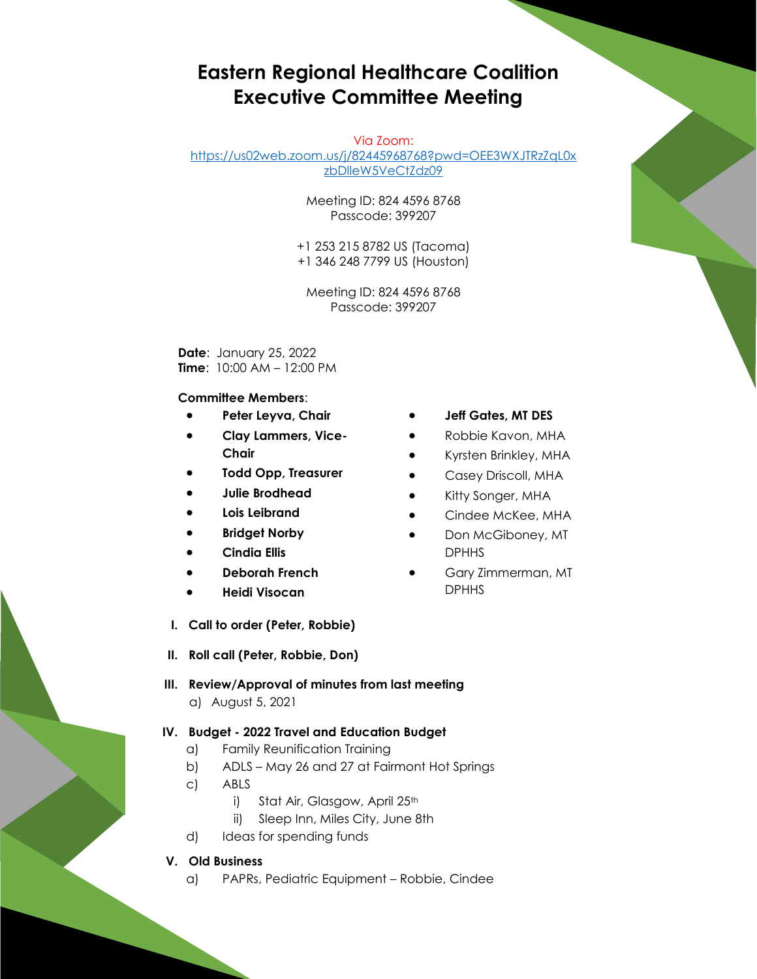# **Eastern Regional Healthcare Coalition Executive Committee Meeting**

Via Zoom:

[https://us02web.zoom.us/j/82445968768?pwd=OEE3WXJTRzZqL0x](https://us02web.zoom.us/j/82445968768?pwd=OEE3WXJTRzZqL0xzbDlleW5VeCtZdz09) [zbDlleW5VeCtZdz09](https://us02web.zoom.us/j/82445968768?pwd=OEE3WXJTRzZqL0xzbDlleW5VeCtZdz09)

> Meeting ID: 824 4596 8768 Passcode: 399207

+1 253 215 8782 US (Tacoma) +1 346 248 7799 US (Houston)

Meeting ID: 824 4596 8768 Passcode: 399207

**Date**: January 25, 2022 **Time**: 10:00 AM – 12:00 PM

#### **Committee Members**:

- **Peter Leyva, Chair**
- **Clay Lammers, Vice-Chair**
- **Todd Opp, Treasurer**
- **Julie Brodhead**
- **Lois Leibrand**
- **Bridget Norby**
- **Cindia Ellis**
- **Deborah French**
- **Heidi Visocan**
- **Jeff Gates, MT DES**
- Robbie Kavon, MHA
- Kyrsten Brinkley, MHA
- Casey Driscoll, MHA
- Kitty Songer, MHA
- Cindee McKee, MHA
- Don McGiboney, MT DPHHS
- Gary Zimmerman, MT DPHHS
- **I. Call to order (Peter, Robbie)**
- **II. Roll call (Peter, Robbie, Don)**
- **III. Review/Approval of minutes from last meeting** a) August 5, 2021

### **IV. Budget - 2022 Travel and Education Budget**

- a) Family Reunification Training
- b) ADLS May 26 and 27 at Fairmont Hot Springs
- c) ABLS
	- i) Stat Air, Glasgow, April 25th
	- ii) Sleep Inn, Miles City, June 8th
- d) Ideas for spending funds

#### **V. Old Business**

a) PAPRs, Pediatric Equipment – Robbie, Cindee